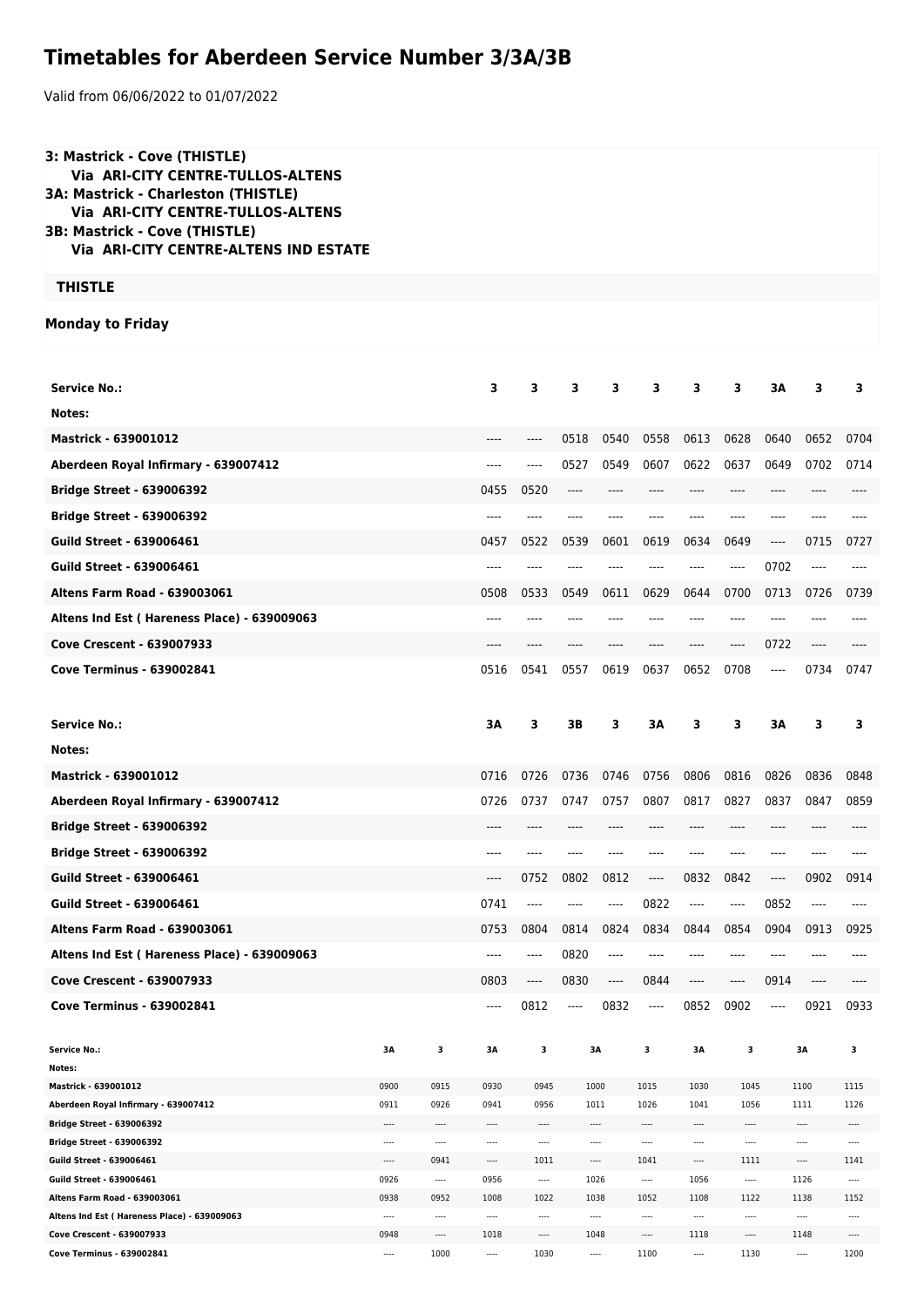## **Timetables for Aberdeen Service Number 3/3A/3B**

Valid from 06/06/2022 to 01/07/2022

| 3: Mastrick - Cove (THISTLE)<br>Via ARI-CITY CENTRE-TULLOS-ALTENS<br>3A: Mastrick - Charleston (THISTLE)<br>Via ARI-CITY CENTRE-TULLOS-ALTENS<br>3B: Mastrick - Cove (THISTLE)<br><b>Via ARI-CITY CENTRE-ALTENS IND ESTATE</b> |                  |                      |                  |                               |      |          |                  |               |                      |          |                  |                  |
|--------------------------------------------------------------------------------------------------------------------------------------------------------------------------------------------------------------------------------|------------------|----------------------|------------------|-------------------------------|------|----------|------------------|---------------|----------------------|----------|------------------|------------------|
| <b>THISTLE</b>                                                                                                                                                                                                                 |                  |                      |                  |                               |      |          |                  |               |                      |          |                  |                  |
| <b>Monday to Friday</b>                                                                                                                                                                                                        |                  |                      |                  |                               |      |          |                  |               |                      |          |                  |                  |
|                                                                                                                                                                                                                                |                  |                      |                  |                               |      |          |                  |               |                      |          |                  |                  |
| <b>Service No.:</b>                                                                                                                                                                                                            |                  |                      | 3                | 3                             | 3    | 3        | 3                | 3             | 3                    | 3A       | 3                | 3                |
| Notes:                                                                                                                                                                                                                         |                  |                      |                  |                               |      |          |                  |               |                      |          |                  |                  |
| <b>Mastrick - 639001012</b>                                                                                                                                                                                                    |                  |                      | ----             | ----                          | 0518 | 0540     | 0558             | 0613          | 0628                 | 0640     | 0652             | 0704             |
| Aberdeen Royal Infirmary - 639007412                                                                                                                                                                                           |                  |                      | ----             | $---$                         | 0527 | 0549     | 0607             | 0622          | 0637                 | 0649     | 0702             | 0714             |
| <b>Bridge Street - 639006392</b>                                                                                                                                                                                               |                  |                      | 0455             | 0520                          | ---- | ----     |                  | ----          | $---$                | ----     | $---$            |                  |
| <b>Bridge Street - 639006392</b>                                                                                                                                                                                               |                  |                      | ----             |                               | ---- | ----     |                  | ----          | ----                 | ----     |                  |                  |
| <b>Guild Street - 639006461</b>                                                                                                                                                                                                |                  |                      | 0457             | 0522                          | 0539 | 0601     | 0619             | 0634          | 0649                 | $-----$  | 0715             | 0727             |
| <b>Guild Street - 639006461</b>                                                                                                                                                                                                |                  |                      | ----             | $---$                         | ---- | ----     | ----             | ----          | ----                 | 0702     | $\cdots$         | ----             |
| <b>Altens Farm Road - 639003061</b>                                                                                                                                                                                            |                  |                      | 0508             | 0533                          | 0549 | 0611     | 0629             | 0644          | 0700                 | 0713     | 0726             | 0739             |
| Altens Ind Est (Hareness Place) - 639009063                                                                                                                                                                                    |                  |                      | ----             |                               |      |          |                  | ----          | ----                 | ----     |                  |                  |
| <b>Cove Crescent - 639007933</b>                                                                                                                                                                                               |                  |                      | ----             |                               | ---- | ----     |                  | ----          | $---$                | 0722     | $---$            |                  |
| <b>Cove Terminus - 639002841</b>                                                                                                                                                                                               |                  |                      | 0516             | 0541                          | 0557 | 0619     | 0637             | 0652          | 0708                 | $\cdots$ | 0734             | 0747             |
|                                                                                                                                                                                                                                |                  |                      |                  |                               |      |          |                  |               |                      |          |                  |                  |
|                                                                                                                                                                                                                                |                  |                      |                  |                               | 3B   | 3        | 3A               | 3             | 3                    | 3A       | 3                | 3                |
|                                                                                                                                                                                                                                |                  |                      |                  |                               |      |          |                  |               |                      |          |                  |                  |
| <b>Service No.:</b>                                                                                                                                                                                                            |                  |                      | 3A               | 3                             |      |          |                  |               |                      |          |                  |                  |
| Notes:                                                                                                                                                                                                                         |                  |                      |                  |                               |      |          |                  |               |                      |          |                  |                  |
| <b>Mastrick - 639001012</b>                                                                                                                                                                                                    |                  |                      | 0716             | 0726                          | 0736 | 0746     | 0756             | 0806          | 0816                 | 0826     | 0836             | 0848             |
| Aberdeen Royal Infirmary - 639007412                                                                                                                                                                                           |                  |                      | 0726             | 0737                          | 0747 | 0757     | 0807             | 0817          | 0827                 | 0837     | 0847             | 0859             |
| <b>Bridge Street - 639006392</b>                                                                                                                                                                                               |                  |                      |                  |                               |      |          |                  |               |                      |          |                  |                  |
| <b>Bridge Street - 639006392</b>                                                                                                                                                                                               |                  |                      |                  |                               |      |          |                  |               |                      |          |                  |                  |
| <b>Guild Street - 639006461</b>                                                                                                                                                                                                |                  |                      | ----             | 0752                          | 0802 | 0812     | $\cdots$         | 0832          | 0842                 | ----     | 0902             | 0914             |
| <b>Guild Street - 639006461</b>                                                                                                                                                                                                |                  |                      | 0741             | $---$                         | ---- | ----     | 0822             | ----          | ----                 | 0852     | ----             |                  |
| Altens Farm Road - 639003061                                                                                                                                                                                                   |                  |                      | 0753             | 0804                          | 0814 | 0824     | 0834             | 0844          | 0854                 | 0904     | 0913             | 0925             |
| Altens Ind Est (Hareness Place) - 639009063                                                                                                                                                                                    |                  |                      | ----             | $-----$                       | 0820 | ----     | $---$            | ----          | $-----$              | ----     | ----             | ----             |
| Cove Crescent - 639007933                                                                                                                                                                                                      |                  |                      | 0803             | $\hspace{1.5cm} \textbf{---}$ | 0830 | ----     | 0844             | ----          | $-----$              | 0914     | $\cdots$         | ----             |
| <b>Cove Terminus - 639002841</b>                                                                                                                                                                                               |                  |                      | ----             | 0812                          | ---- | 0832     | ----             | 0852          | 0902                 | $\cdots$ | 0921             | 0933             |
| <b>Service No.:</b>                                                                                                                                                                                                            | 3Α               | 3                    | ЗΑ               | з                             |      | ЗΑ       | з                | ЗΑ            | 3                    |          | 3Α               | з                |
| Notes:                                                                                                                                                                                                                         |                  |                      |                  |                               |      |          |                  |               |                      |          |                  |                  |
| Mastrick - 639001012                                                                                                                                                                                                           | 0900             | 0915                 | 0930             | 0945                          |      | 1000     | 1015             | 1030          | 1045                 |          | 1100             | 1115             |
| Aberdeen Royal Infirmary - 639007412                                                                                                                                                                                           | 0911             | 0926                 | 0941             | 0956                          |      | 1011     | 1026             | 1041          | 1056                 |          | 1111             | 1126             |
| Bridge Street - 639006392<br><b>Bridge Street - 639006392</b>                                                                                                                                                                  | <br>$\cdots$     | $\cdots$<br>$\cdots$ | ----<br>         | $\cdots$<br>$\cdots$          |      | ----<br> | ----<br>$\cdots$ | ----<br>$---$ | $\cdots$<br>         |          | ----<br>$\cdots$ | ----<br>----     |
| Guild Street - 639006461                                                                                                                                                                                                       | $\cdots$         | 0941                 | $\cdots$         | 1011                          |      | ----     | 1041             | ----          | 1111                 |          | $\cdots$         | 1141             |
| Guild Street - 639006461                                                                                                                                                                                                       | 0926             | $\cdots$             | 0956             | $\cdots$                      |      | 1026     | $\cdots$         | 1056          | $\cdots$             |          | 1126             | $\cdots$         |
| Altens Farm Road - 639003061                                                                                                                                                                                                   | 0938             | 0952                 | 1008             | 1022                          |      | 1038     | 1052             | 1108          | 1122                 |          | 1138             | 1152             |
| Altens Ind Est (Hareness Place) - 639009063<br>Cove Crescent - 639007933                                                                                                                                                       | $\cdots$<br>0948 | $\cdots$<br>$\cdots$ | $\cdots$<br>1018 | $\cdots$<br>$\cdots$          |      | <br>1048 | $\cdots$<br>---- | ----<br>1118  | $\cdots$<br>$\cdots$ |          | ----<br>1148     | ----<br>$\cdots$ |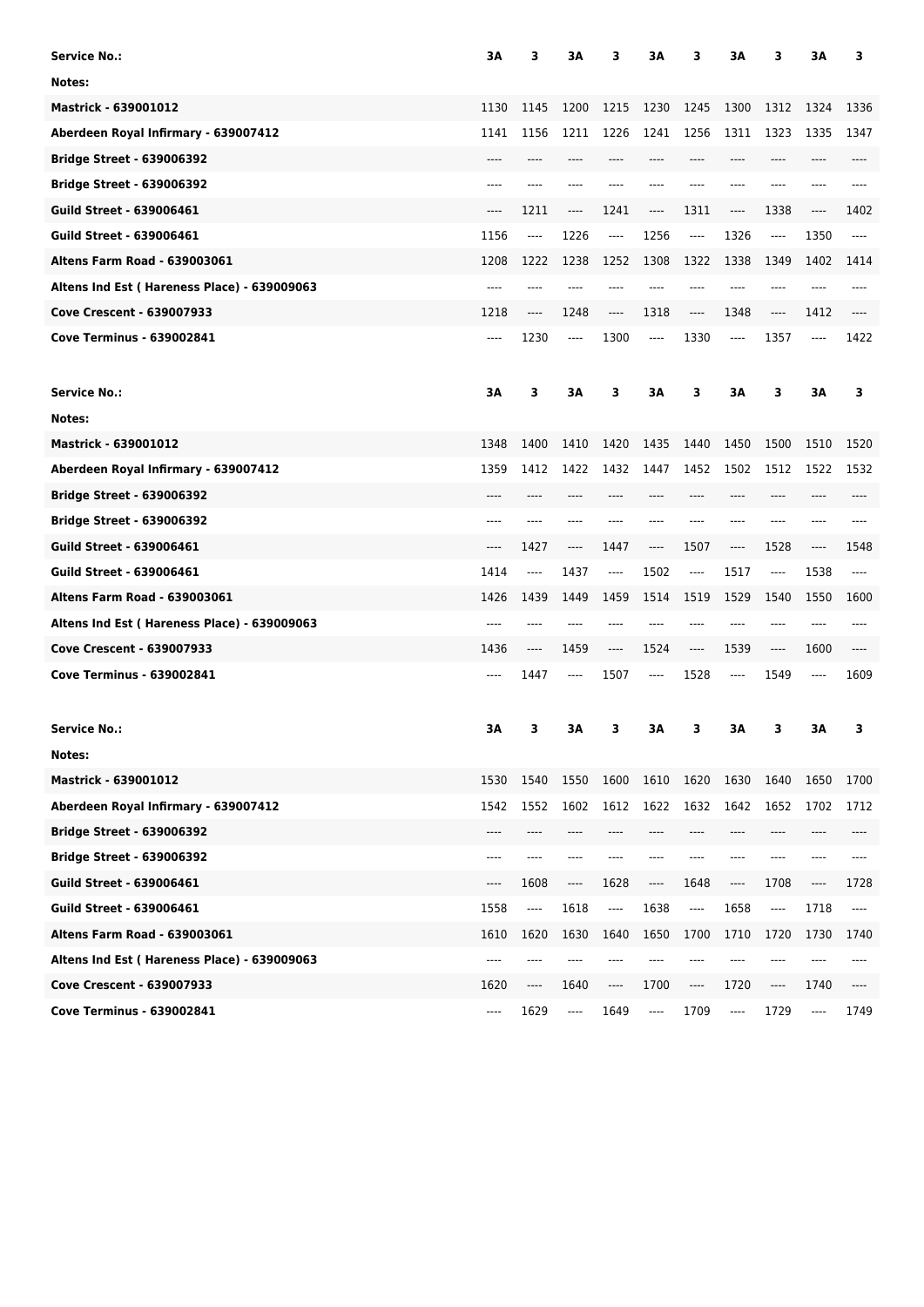| <b>Service No.:</b>                         | ЗΑ   | 3                        | ЗΑ                            | 3        | ЗΑ                                       | 3                             | ЗΑ      | з                                        | ЗA                            | з     |
|---------------------------------------------|------|--------------------------|-------------------------------|----------|------------------------------------------|-------------------------------|---------|------------------------------------------|-------------------------------|-------|
| Notes:                                      |      |                          |                               |          |                                          |                               |         |                                          |                               |       |
| <b>Mastrick - 639001012</b>                 | 1130 | 1145                     | 1200                          | 1215     | 1230                                     | 1245                          | 1300    | 1312                                     | 1324                          | 1336  |
| Aberdeen Royal Infirmary - 639007412        | 1141 | 1156                     | 1211                          | 1226     | 1241                                     | 1256                          | 1311    | 1323                                     | 1335                          | 1347  |
| <b>Bridge Street - 639006392</b>            | ---- | ----                     | ----                          | ----     | ----                                     | ----                          | ----    | ----                                     | ----                          |       |
| <b>Bridge Street - 639006392</b>            | ---- | ----                     | ----                          | ----     |                                          | ----                          | ----    | ----                                     | ----                          | ----  |
| <b>Guild Street - 639006461</b>             | ---- | 1211                     | $\cdots$                      | 1241     | ----                                     | 1311                          | ----    | 1338                                     | ----                          | 1402  |
| <b>Guild Street - 639006461</b>             | 1156 | $\cdots$                 | 1226                          | $\cdots$ | 1256                                     | $\hspace{1.5cm} \textbf{---}$ | 1326    | ----                                     | 1350                          | ----  |
| <b>Altens Farm Road - 639003061</b>         | 1208 | 1222                     | 1238                          | 1252     | 1308                                     | 1322                          | 1338    | 1349                                     | 1402                          | 1414  |
| Altens Ind Est (Hareness Place) - 639009063 | ---- | ----                     | ----                          | ----     |                                          |                               |         |                                          |                               | ----  |
| <b>Cove Crescent - 639007933</b>            | 1218 | ----                     | 1248                          | ----     | 1318                                     | $---$                         | 1348    | $-----$                                  | 1412                          |       |
| <b>Cove Terminus - 639002841</b>            | ---- | 1230                     | $\cdots$                      | 1300     | $\cdots$                                 | 1330                          | ----    | 1357                                     | $\cdots$                      | 1422  |
| <b>Service No.:</b>                         | ЗΑ   | 3                        | ЗΑ                            | 3        | ЗΑ                                       | 3                             | ЗΑ      | 3                                        | ЗΑ                            | 3     |
| Notes:                                      |      |                          |                               |          |                                          |                               |         |                                          |                               |       |
| <b>Mastrick - 639001012</b>                 | 1348 | 1400                     | 1410                          | 1420     | 1435                                     | 1440                          | 1450    | 1500                                     | 1510                          | 1520  |
| Aberdeen Royal Infirmary - 639007412        | 1359 | 1412                     | 1422                          | 1432     | 1447                                     | 1452                          | 1502    | 1512                                     | 1522                          | 1532  |
| <b>Bridge Street - 639006392</b>            | ---- | ----                     | $---$                         | ----     | $---$                                    | $---$                         | ----    | ----                                     | ----                          | ----  |
| <b>Bridge Street - 639006392</b>            | ---- | ----                     | ----                          | ----     | ----                                     | ----                          | ----    | ----                                     | ----                          | ----  |
| <b>Guild Street - 639006461</b>             | ---- | 1427                     | $\hspace{1.5cm} \textbf{---}$ | 1447     | ----                                     | 1507                          | ----    | 1528                                     | ----                          | 1548  |
| <b>Guild Street - 639006461</b>             | 1414 | $\cdots$                 | 1437                          | ----     | 1502                                     | $\cdots$                      | 1517    | $---$                                    | 1538                          | $---$ |
| <b>Altens Farm Road - 639003061</b>         | 1426 | 1439                     | 1449                          | 1459     | 1514                                     | 1519                          | 1529    | 1540                                     | 1550                          | 1600  |
| Altens Ind Est (Hareness Place) - 639009063 | ---- | ----                     |                               | ----     |                                          | ----                          |         | ----                                     |                               | ----  |
| Cove Crescent - 639007933                   | 1436 | ----                     | 1459                          | ----     | 1524                                     | $---$                         | 1539    | ----                                     | 1600                          | $---$ |
| <b>Cove Terminus - 639002841</b>            | ---- | 1447                     | $\cdots$                      | 1507     | $\cdots$                                 | 1528                          | ----    | 1549                                     | ----                          | 1609  |
| <b>Service No.:</b>                         | ЗΑ   | 3                        | ЗΑ                            | 3        | ЗΑ                                       | 3                             | 3A      | 3                                        | ЗA                            | з     |
| Notes:                                      |      |                          |                               |          |                                          |                               |         |                                          |                               |       |
| Mastrick - 639001012                        | 1530 | 1540                     | 1550                          | 1600     | 1610                                     | 1620                          | 1630    | 1640                                     | 1650                          | 1700  |
| Aberdeen Royal Infirmary - 639007412        | 1542 | 1552                     | 1602                          | 1612     | 1622                                     | 1632                          | 1642    | 1652                                     | 1702                          | 1712  |
| <b>Bridge Street - 639006392</b>            | ---- | ----                     | ----                          | ----     |                                          | ----                          | ----    | ----                                     | ----                          |       |
| <b>Bridge Street - 639006392</b>            | ---- | ----                     | ----                          | ----     | ----                                     | $---$                         | $-----$ | ----                                     | ----                          | ----  |
| <b>Guild Street - 639006461</b>             | ---- | 1608                     | $\qquad \qquad - - -$         | 1628     | ----                                     | 1648                          | ----    | 1708                                     | ----                          | 1728  |
| <b>Guild Street - 639006461</b>             | 1558 | $\overline{\phantom{a}}$ | 1618                          | ----     | 1638                                     | ----                          | 1658    | $\hspace{0.05cm} \ldots \hspace{0.05cm}$ | 1718                          | ----  |
| <b>Altens Farm Road - 639003061</b>         | 1610 | 1620                     | 1630                          | 1640     | 1650                                     | 1700                          | 1710    | 1720                                     | 1730                          | 1740  |
| Altens Ind Est (Hareness Place) - 639009063 | ---- | ----                     | ----                          |          |                                          | ----                          | ----    | ----                                     | ----                          |       |
| Cove Crescent - 639007933                   | 1620 | ----                     | 1640                          | ----     | 1700                                     | $\hspace{1.5cm} \textbf{---}$ | 1720    | ----                                     | 1740                          | ----  |
| <b>Cove Terminus - 639002841</b>            | ---- | 1629                     | $\cdots$                      | 1649     | $\hspace{0.05cm} \ldots \hspace{0.05cm}$ | 1709                          | ----    | 1729                                     | $\hspace{1.5cm} \textbf{---}$ | 1749  |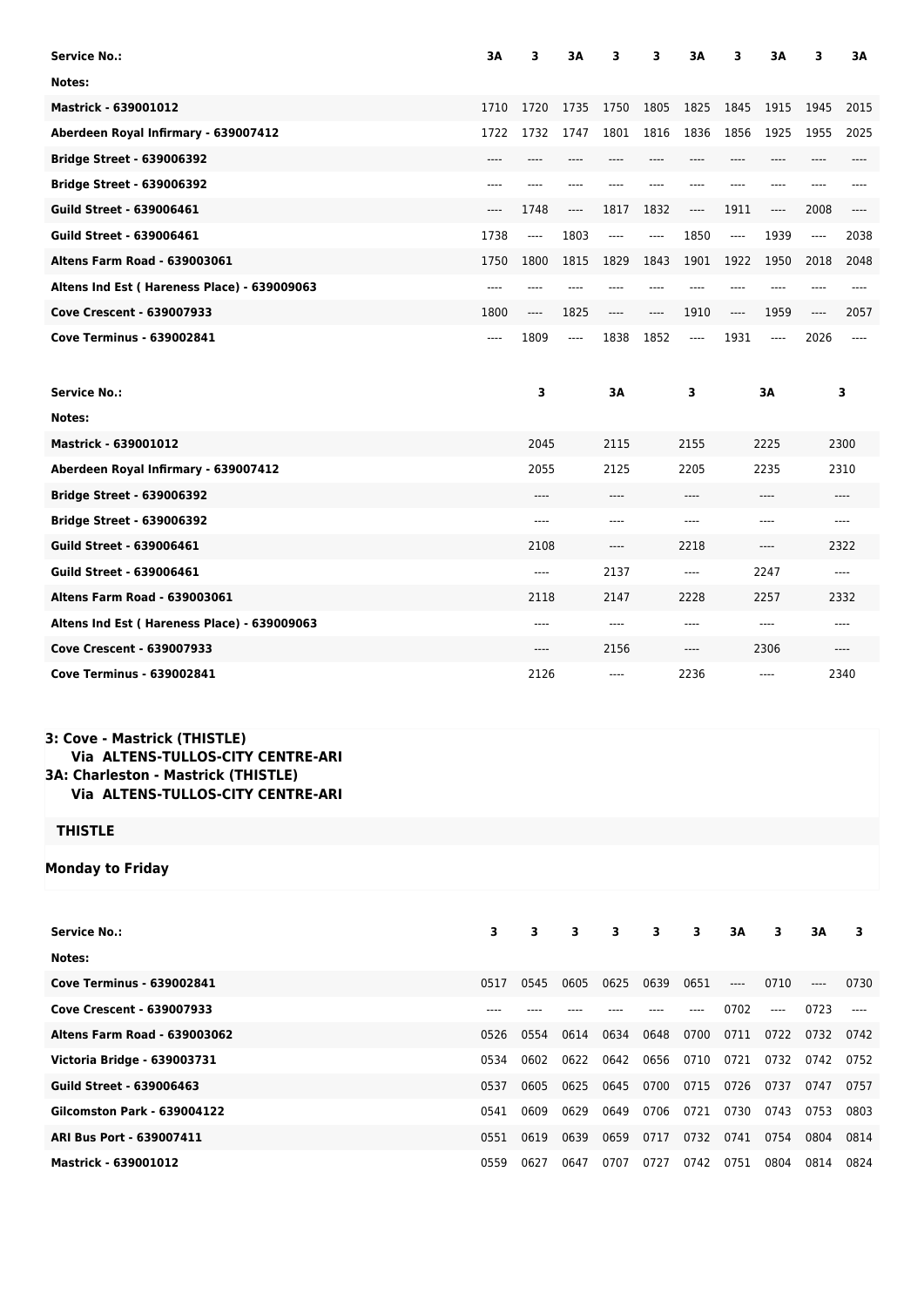| <b>Service No.:</b>                         | 3A    | 3     | ЗA    | 3     | з     | ЗΑ       | 3    | 3A    | 3       | ЗΑ    |
|---------------------------------------------|-------|-------|-------|-------|-------|----------|------|-------|---------|-------|
| Notes:                                      |       |       |       |       |       |          |      |       |         |       |
| <b>Mastrick - 639001012</b>                 | 1710  | 1720  | 1735  | 1750  | 1805  | 1825     | 1845 | 1915  | 1945    | 2015  |
| Aberdeen Royal Infirmary - 639007412        | 1722  | 1732  | 1747  | 1801  | 1816  | 1836     | 1856 | 1925  | 1955    | 2025  |
| <b>Bridge Street - 639006392</b>            | ----  |       |       |       |       |          | ---- |       |         |       |
| <b>Bridge Street - 639006392</b>            | ----  |       |       |       |       |          |      |       |         |       |
| <b>Guild Street - 639006461</b>             | ----  | 1748  | ----  | 1817  | 1832  | ----     | 1911 | ----  | 2008    | ----  |
| <b>Guild Street - 639006461</b>             | 1738  | ----  | 1803  | ----  | ----  | 1850     | ---- | 1939  | $-----$ | 2038  |
| <b>Altens Farm Road - 639003061</b>         | 1750  | 1800  | 1815  | 1829  | 1843  | 1901     | 1922 | 1950  | 2018    | 2048  |
| Altens Ind Est (Hareness Place) - 639009063 | ----  | ----  | ----  | ----  | ----  | ----     | ---- | ----  | ----    | ----  |
| Cove Crescent - 639007933                   | 1800  | ----  | 1825  | $---$ | $---$ | 1910     | ---- | 1959  | $-----$ | 2057  |
| <b>Cove Terminus - 639002841</b>            | $---$ | 1809  | $---$ | 1838  | 1852  | $\cdots$ | 1931 | $---$ | 2026    | ----  |
|                                             |       |       |       |       |       |          |      |       |         |       |
| <b>Service No.:</b>                         |       | 3     |       | 3A    |       | 3        |      | ЗΑ    |         | 3     |
| Notes:                                      |       |       |       |       |       |          |      |       |         |       |
| <b>Mastrick - 639001012</b>                 |       | 2045  |       | 2115  |       | 2155     |      | 2225  |         | 2300  |
| Aberdeen Royal Infirmary - 639007412        |       | 2055  |       | 2125  |       | 2205     |      | 2235  |         | 2310  |
| <b>Bridge Street - 639006392</b>            |       | $---$ |       | $---$ |       | ----     |      | $---$ |         | $---$ |
| <b>Bridge Street - 639006392</b>            |       | $---$ |       | $---$ |       | ----     |      | $---$ |         | $---$ |
| <b>Guild Street - 639006461</b>             |       | 2108  |       | $---$ |       | 2218     |      | ----  |         | 2322  |
| <b>Guild Street - 639006461</b>             |       | ----  |       | 2137  |       | ----     |      | 2247  |         | $---$ |
| <b>Altens Farm Road - 639003061</b>         |       | 2118  |       | 2147  |       | 2228     |      | 2257  |         | 2332  |
| Altens Ind Est (Hareness Place) - 639009063 |       | ----  |       | $---$ |       | ----     |      | ----  |         |       |
| <b>Cove Crescent - 639007933</b>            |       | ----  |       | 2156  |       | ----     |      | 2306  |         | $---$ |

## **3: Cove - Mastrick (THISTLE) Via ALTENS-TULLOS-CITY CENTRE-ARI 3A: Charleston - Mastrick (THISTLE) Via ALTENS-TULLOS-CITY CENTRE-ARI**

## **THISTLE**

## **Monday to Friday**

| <b>Service No.:</b>                 | 3    | 3    | 3    | $\overline{\mathbf{3}}$ | 3    | 3    | 3A    | 3     | 3A    | 3     |
|-------------------------------------|------|------|------|-------------------------|------|------|-------|-------|-------|-------|
| Notes:                              |      |      |      |                         |      |      |       |       |       |       |
| <b>Cove Terminus - 639002841</b>    | 0517 | 0545 | 0605 | 0625                    | 0639 | 0651 | $---$ | 0710  | $---$ | 0730  |
| <b>Cove Crescent - 639007933</b>    | ---- |      |      |                         |      | ---- | 0702  | $---$ | 0723  | $---$ |
| <b>Altens Farm Road - 639003062</b> | 0526 | 0554 | 0614 | 0634                    | 0648 | 0700 | 0711  | 0722  | 0732  | 0742  |
| Victoria Bridge - 639003731         | 0534 | 0602 | 0622 | 0642                    | 0656 | 0710 | 0721  | 0732  | 0742  | 0752  |
| Guild Street - 639006463            | 0537 | 0605 | 0625 | 0645                    | 0700 | 0715 | 0726  | 0737  | 0747  | 0757  |
| <b>Gilcomston Park - 639004122</b>  | 0541 | 0609 | 0629 | 0649                    | 0706 | 0721 | 0730  | 0743  | 0753  | 0803  |
| <b>ARI Bus Port - 639007411</b>     | 0551 | 0619 | 0639 | 0659                    | 0717 | 0732 | 0741  | 0754  | 0804  | 0814  |
| Mastrick - 639001012                | 0559 | 0627 | 0647 | 0707                    | 0727 | 0742 | 0751  | 0804  | 0814  | 0824  |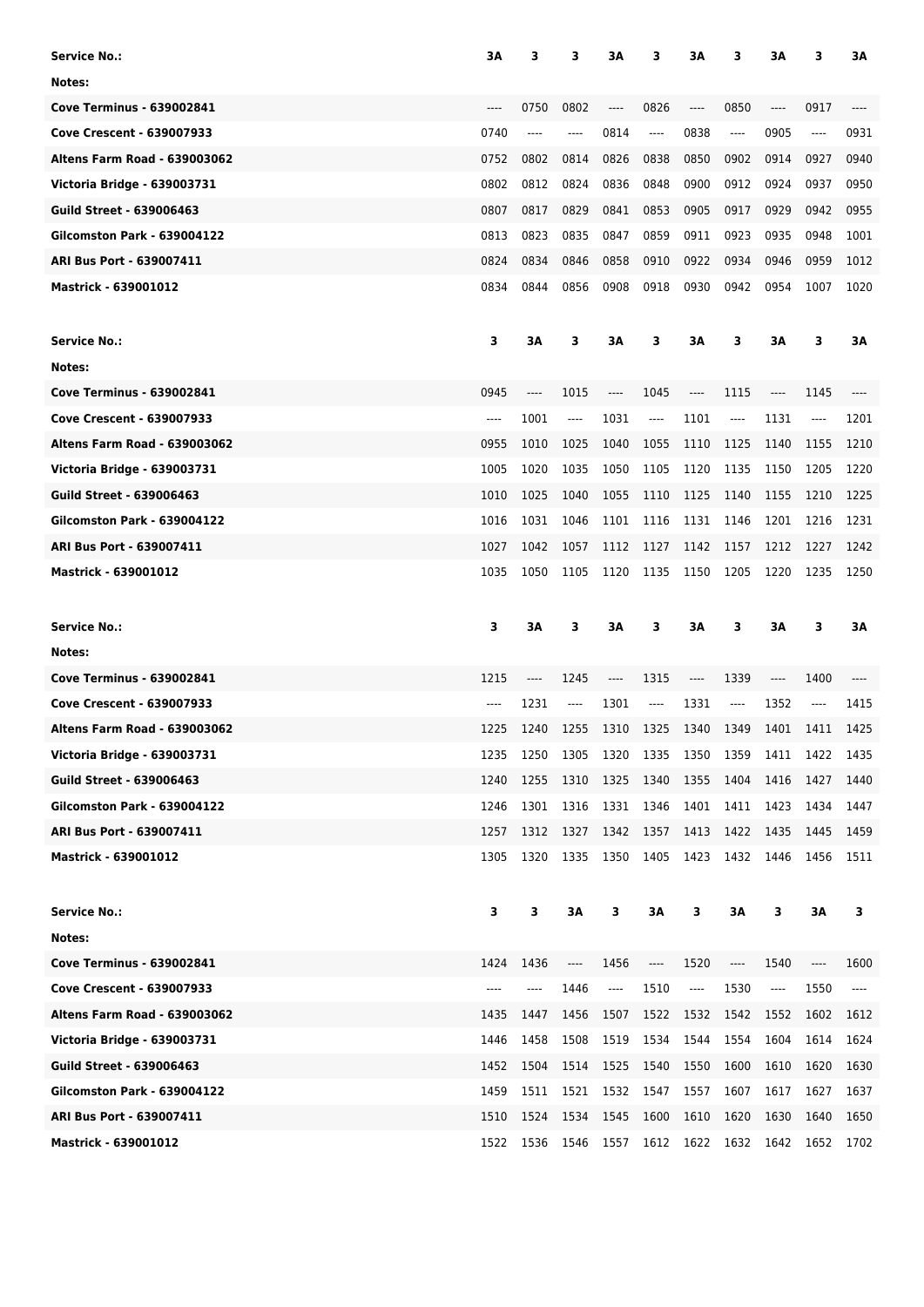| Service No.:                        | ЗΑ       | 3    | з        | ЗΑ   | 3                                                                                                                                                                                                 | ЗA        | 3     | ЗΑ      | 3        | ЗΑ                            |
|-------------------------------------|----------|------|----------|------|---------------------------------------------------------------------------------------------------------------------------------------------------------------------------------------------------|-----------|-------|---------|----------|-------------------------------|
| Notes:                              |          |      |          |      |                                                                                                                                                                                                   |           |       |         |          |                               |
| <b>Cove Terminus - 639002841</b>    | ----     | 0750 | 0802     | ---- | 0826                                                                                                                                                                                              | ----      | 0850  | $---$   | 0917     |                               |
| <b>Cove Crescent - 639007933</b>    | 0740     | ---- | ----     | 0814 | $---$                                                                                                                                                                                             | 0838      | ----  | 0905    | ----     | 0931                          |
| <b>Altens Farm Road - 639003062</b> | 0752     | 0802 | 0814     | 0826 | 0838                                                                                                                                                                                              | 0850      | 0902  | 0914    | 0927     | 0940                          |
| Victoria Bridge - 639003731         | 0802     | 0812 | 0824     | 0836 | 0848                                                                                                                                                                                              | 0900      | 0912  | 0924    | 0937     | 0950                          |
| <b>Guild Street - 639006463</b>     | 0807     | 0817 | 0829     | 0841 | 0853                                                                                                                                                                                              | 0905      | 0917  | 0929    | 0942     | 0955                          |
| <b>Gilcomston Park - 639004122</b>  | 0813     | 0823 | 0835     | 0847 | 0859                                                                                                                                                                                              | 0911      | 0923  | 0935    | 0948     | 1001                          |
| <b>ARI Bus Port - 639007411</b>     | 0824     | 0834 | 0846     | 0858 | 0910                                                                                                                                                                                              | 0922      | 0934  | 0946    | 0959     | 1012                          |
| <b>Mastrick - 639001012</b>         | 0834     | 0844 | 0856     | 0908 | 0918                                                                                                                                                                                              | 0930      | 0942  | 0954    | 1007     | 1020                          |
| <b>Service No.:</b>                 | 3        | ЗA   | 3        | ЗΑ   | 3                                                                                                                                                                                                 | ЗΑ        | з     | ЗΑ      | 3        | ЗA                            |
| Notes:                              |          |      |          |      |                                                                                                                                                                                                   |           |       |         |          |                               |
| <b>Cove Terminus - 639002841</b>    | 0945     | ---- | 1015     | ---- | 1045                                                                                                                                                                                              | ----      | 1115  | ----    | 1145     | $---$                         |
| Cove Crescent - 639007933           | $---$    | 1001 | ----     | 1031 | $\qquad \qquad \textbf{---}\\$                                                                                                                                                                    | 1101      | ----  | 1131    | $\cdots$ | 1201                          |
| <b>Altens Farm Road - 639003062</b> | 0955     | 1010 | 1025     | 1040 | 1055                                                                                                                                                                                              | 1110      | 1125  | 1140    | 1155     | 1210                          |
| Victoria Bridge - 639003731         | 1005     | 1020 | 1035     | 1050 | 1105                                                                                                                                                                                              | 1120      | 1135  | 1150    | 1205     | 1220                          |
| <b>Guild Street - 639006463</b>     | 1010     | 1025 | 1040     | 1055 | 1110                                                                                                                                                                                              | 1125      | 1140  | 1155    | 1210     | 1225                          |
| <b>Gilcomston Park - 639004122</b>  | 1016     | 1031 | 1046     | 1101 | 1116                                                                                                                                                                                              | 1131      | 1146  | 1201    | 1216     | 1231                          |
| ARI Bus Port - 639007411            | 1027     | 1042 | 1057     | 1112 | 1127                                                                                                                                                                                              | 1142      | 1157  | 1212    | 1227     | 1242                          |
| <b>Mastrick - 639001012</b>         | 1035     | 1050 | 1105     | 1120 | 1135                                                                                                                                                                                              | 1150      | 1205  | 1220    | 1235     | 1250                          |
|                                     |          |      |          |      |                                                                                                                                                                                                   |           |       |         |          |                               |
| <b>Service No.:</b>                 | 3        | 3A   | 3        | ЗΑ   | з                                                                                                                                                                                                 | ЗΑ        | 3     | 3A      | 3        | ЗΑ                            |
| Notes:                              |          |      |          |      |                                                                                                                                                                                                   |           |       |         |          |                               |
| <b>Cove Terminus - 639002841</b>    | 1215     | ---- | 1245     | ---- | 1315                                                                                                                                                                                              | ----      | 1339  | $-----$ | 1400     | ----                          |
| <b>Cove Crescent - 639007933</b>    | $\cdots$ | 1231 | $\cdots$ | 1301 | $\cdots$                                                                                                                                                                                          | 1331      | $---$ | 1352    | ----     | 1415                          |
| <b>Altens Farm Road - 639003062</b> | 1225     | 1240 | 1255     | 1310 | 1325                                                                                                                                                                                              | 1340      | 1349  | 1401    | 1411     | 1425                          |
| Victoria Bridge - 639003731         | 1235     | 1250 | 1305     |      | 1320 1335                                                                                                                                                                                         | 1350 1359 |       | 1411    | 1422     | 1435                          |
| <b>Guild Street - 639006463</b>     | 1240     | 1255 | 1310     | 1325 | 1340                                                                                                                                                                                              | 1355      | 1404  | 1416    | 1427     | 1440                          |
| <b>Gilcomston Park - 639004122</b>  | 1246     | 1301 | 1316     | 1331 | 1346                                                                                                                                                                                              | 1401      | 1411  | 1423    | 1434     | 1447                          |
| ARI Bus Port - 639007411            | 1257     | 1312 | 1327     | 1342 | 1357                                                                                                                                                                                              | 1413      | 1422  | 1435    | 1445     | 1459                          |
| Mastrick - 639001012                | 1305     | 1320 | 1335     | 1350 | 1405                                                                                                                                                                                              | 1423      | 1432  | 1446    | 1456     | 1511                          |
| <b>Service No.:</b>                 | 3        | 3    | ЗΑ       | 3    | ЗΑ                                                                                                                                                                                                | 3         | ЗΑ    | 3       | ЗΑ       | 3                             |
| Notes:                              |          |      |          |      |                                                                                                                                                                                                   |           |       |         |          |                               |
| <b>Cove Terminus - 639002841</b>    | 1424     | 1436 | ----     | 1456 | $\hspace{0.02in} \hspace{0.02in} \hspace{0.02in} \hspace{0.02in} \hspace{0.02in} \hspace{0.02in} \hspace{0.02in} \hspace{0.02in} \hspace{0.02in} \hspace{0.02in} \hspace{0.02in} \hspace{0.02in}$ | 1520      | ----  | 1540    | $\cdots$ | 1600                          |
| <b>Cove Crescent - 639007933</b>    | ----     | ---- | 1446     | ---- | 1510                                                                                                                                                                                              | ----      | 1530  | ----    | 1550     | $\hspace{1.5cm} \textbf{---}$ |
| <b>Altens Farm Road - 639003062</b> | 1435     | 1447 | 1456     | 1507 | 1522                                                                                                                                                                                              | 1532      | 1542  | 1552    | 1602     | 1612                          |
| Victoria Bridge - 639003731         | 1446     | 1458 | 1508     | 1519 | 1534                                                                                                                                                                                              | 1544      | 1554  | 1604    | 1614     | 1624                          |
| <b>Guild Street - 639006463</b>     | 1452     | 1504 | 1514     | 1525 | 1540                                                                                                                                                                                              | 1550      | 1600  | 1610    | 1620     | 1630                          |
| <b>Gilcomston Park - 639004122</b>  | 1459     | 1511 | 1521     | 1532 | 1547                                                                                                                                                                                              | 1557      | 1607  | 1617    | 1627     | 1637                          |
| ARI Bus Port - 639007411            | 1510     | 1524 | 1534     | 1545 | 1600                                                                                                                                                                                              | 1610      | 1620  | 1630    | 1640     | 1650                          |